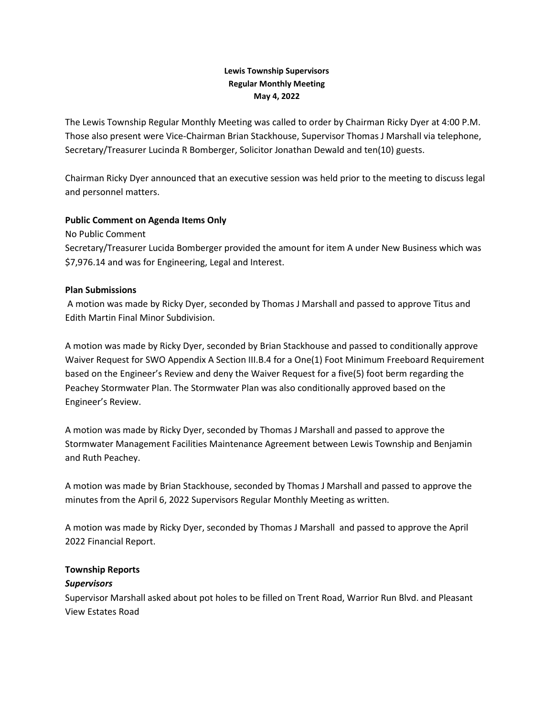## **Lewis Township Supervisors Regular Monthly Meeting May 4, 2022**

The Lewis Township Regular Monthly Meeting was called to order by Chairman Ricky Dyer at 4:00 P.M. Those also present were Vice-Chairman Brian Stackhouse, Supervisor Thomas J Marshall via telephone, Secretary/Treasurer Lucinda R Bomberger, Solicitor Jonathan Dewald and ten(10) guests.

Chairman Ricky Dyer announced that an executive session was held prior to the meeting to discuss legal and personnel matters.

### **Public Comment on Agenda Items Only**

No Public Comment

Secretary/Treasurer Lucida Bomberger provided the amount for item A under New Business which was \$7,976.14 and was for Engineering, Legal and Interest.

### **Plan Submissions**

A motion was made by Ricky Dyer, seconded by Thomas J Marshall and passed to approve Titus and Edith Martin Final Minor Subdivision.

A motion was made by Ricky Dyer, seconded by Brian Stackhouse and passed to conditionally approve Waiver Request for SWO Appendix A Section III.B.4 for a One(1) Foot Minimum Freeboard Requirement based on the Engineer's Review and deny the Waiver Request for a five(5) foot berm regarding the Peachey Stormwater Plan. The Stormwater Plan was also conditionally approved based on the Engineer's Review.

A motion was made by Ricky Dyer, seconded by Thomas J Marshall and passed to approve the Stormwater Management Facilities Maintenance Agreement between Lewis Township and Benjamin and Ruth Peachey.

A motion was made by Brian Stackhouse, seconded by Thomas J Marshall and passed to approve the minutes from the April 6, 2022 Supervisors Regular Monthly Meeting as written.

A motion was made by Ricky Dyer, seconded by Thomas J Marshall and passed to approve the April 2022 Financial Report.

# **Township Reports**

### *Supervisors*

Supervisor Marshall asked about pot holes to be filled on Trent Road, Warrior Run Blvd. and Pleasant View Estates Road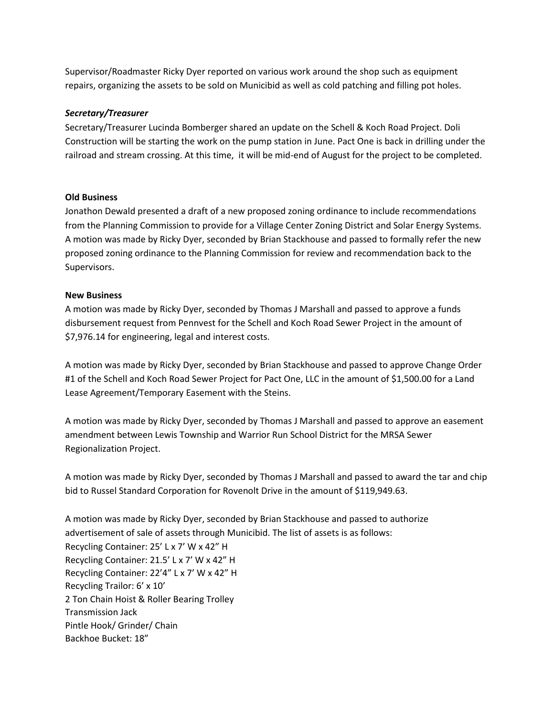Supervisor/Roadmaster Ricky Dyer reported on various work around the shop such as equipment repairs, organizing the assets to be sold on Municibid as well as cold patching and filling pot holes.

## *Secretary/Treasurer*

Secretary/Treasurer Lucinda Bomberger shared an update on the Schell & Koch Road Project. Doli Construction will be starting the work on the pump station in June. Pact One is back in drilling under the railroad and stream crossing. At this time, it will be mid-end of August for the project to be completed.

### **Old Business**

Jonathon Dewald presented a draft of a new proposed zoning ordinance to include recommendations from the Planning Commission to provide for a Village Center Zoning District and Solar Energy Systems. A motion was made by Ricky Dyer, seconded by Brian Stackhouse and passed to formally refer the new proposed zoning ordinance to the Planning Commission for review and recommendation back to the Supervisors.

#### **New Business**

A motion was made by Ricky Dyer, seconded by Thomas J Marshall and passed to approve a funds disbursement request from Pennvest for the Schell and Koch Road Sewer Project in the amount of \$7,976.14 for engineering, legal and interest costs.

A motion was made by Ricky Dyer, seconded by Brian Stackhouse and passed to approve Change Order #1 of the Schell and Koch Road Sewer Project for Pact One, LLC in the amount of \$1,500.00 for a Land Lease Agreement/Temporary Easement with the Steins.

A motion was made by Ricky Dyer, seconded by Thomas J Marshall and passed to approve an easement amendment between Lewis Township and Warrior Run School District for the MRSA Sewer Regionalization Project.

A motion was made by Ricky Dyer, seconded by Thomas J Marshall and passed to award the tar and chip bid to Russel Standard Corporation for Rovenolt Drive in the amount of \$119,949.63.

A motion was made by Ricky Dyer, seconded by Brian Stackhouse and passed to authorize advertisement of sale of assets through Municibid. The list of assets is as follows: Recycling Container: 25' L x 7' W x 42" H Recycling Container: 21.5' L x 7' W x 42" H Recycling Container: 22'4" L x 7' W x 42" H Recycling Trailor: 6' x 10' 2 Ton Chain Hoist & Roller Bearing Trolley Transmission Jack Pintle Hook/ Grinder/ Chain Backhoe Bucket: 18"